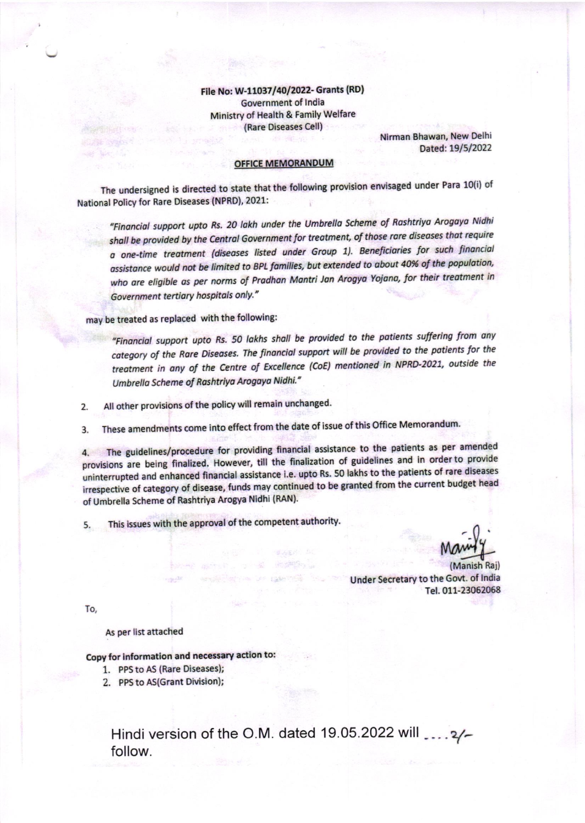File No: W-11037/40/2022- Grants (RD) **Government of India** Ministry of Health & Family Welfare (Rare Diseases Cell)

Nirman Bhawan, New Delhi Dated: 19/5/2022

## **OFFICE MEMORANDUM**

The undersigned is directed to state that the following provision envisaged under Para 10(i) of National Policy for Rare Diseases (NPRD), 2021:

"Financial support upto Rs. 20 lakh under the Umbrella Scheme of Rashtriya Arogaya Nidhi shall be provided by the Central Government for treatment, of those rare diseases that require a one-time treatment (diseases listed under Group 1). Beneficiaries for such financial assistance would not be limited to BPL families, but extended to about 40% of the population, who are eligible as per norms of Pradhan Mantri Jan Arogya Yojana, for their treatment in Government tertiary hospitals only."

may be treated as replaced with the following:

"Financial support upto Rs. 50 lakhs shall be provided to the patients suffering from any category of the Rare Diseases. The financial support will be provided to the patients for the treatment in any of the Centre of Excellence (CoE) mentioned in NPRD-2021, outside the Umbrella Scheme of Rashtriya Arogaya Nidhi."

All other provisions of the policy will remain unchanged.  $2.$ 

These amendments come into effect from the date of issue of this Office Memorandum.  $\mathbf{R}$ 

The guidelines/procedure for providing financial assistance to the patients as per amended 4. provisions are being finalized. However, till the finalization of guidelines and in order to provide uninterrupted and enhanced financial assistance i.e. upto Rs. 50 lakhs to the patients of rare diseases irrespective of category of disease, funds may continued to be granted from the current budget head of Umbrella Scheme of Rashtriya Arogya Nidhi (RAN).

This issues with the approval of the competent authority. 5.

(Manish Rai) Under Secretary to the Govt. of India Tel. 011-23062068

To,

As per list attached

## Copy for information and necessary action to:

- 1. PPS to AS (Rare Diseases);
- 2. PPS to AS(Grant Division);

Hindi version of the O.M. dated 19.05.2022 will \_... 2/follow.